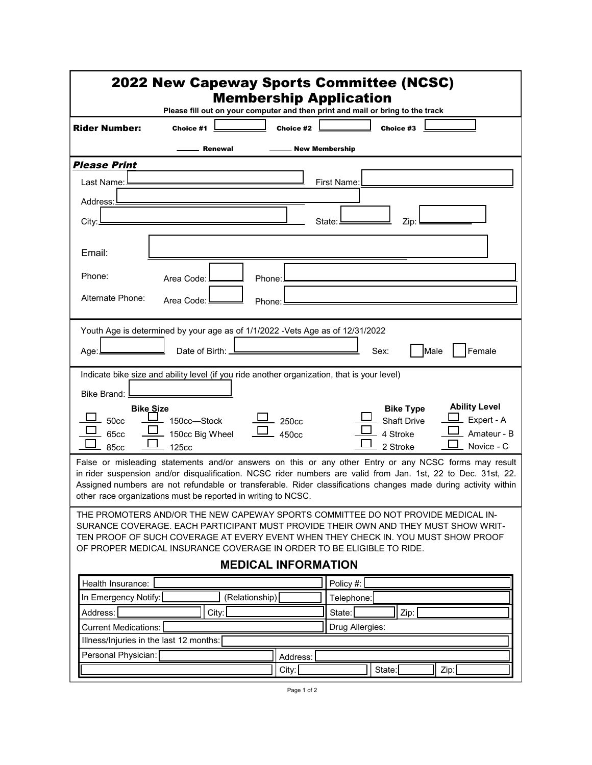| <b>2022 New Capeway Sports Committee (NCSC)</b><br><b>Membership Application</b>                                                                                                                                                                                                                                                                                                                          |
|-----------------------------------------------------------------------------------------------------------------------------------------------------------------------------------------------------------------------------------------------------------------------------------------------------------------------------------------------------------------------------------------------------------|
| Please fill out on your computer and then print and mail or bring to the track                                                                                                                                                                                                                                                                                                                            |
| <b>Rider Number:</b><br>Choice #3<br>Choice #2<br>Choice #1                                                                                                                                                                                                                                                                                                                                               |
| <b>New Membership</b><br>Renewal                                                                                                                                                                                                                                                                                                                                                                          |
| <b>Please Print</b>                                                                                                                                                                                                                                                                                                                                                                                       |
| First Name:<br>Last Name:                                                                                                                                                                                                                                                                                                                                                                                 |
| Address:                                                                                                                                                                                                                                                                                                                                                                                                  |
| City:<br>State:<br>Zip:                                                                                                                                                                                                                                                                                                                                                                                   |
| Email:                                                                                                                                                                                                                                                                                                                                                                                                    |
| Phone:<br>Area Code:<br>Phone:                                                                                                                                                                                                                                                                                                                                                                            |
|                                                                                                                                                                                                                                                                                                                                                                                                           |
| Alternate Phone:<br>Area Code:<br>Phone:                                                                                                                                                                                                                                                                                                                                                                  |
| Youth Age is determined by your age as of 1/1/2022 -Vets Age as of 12/31/2022                                                                                                                                                                                                                                                                                                                             |
|                                                                                                                                                                                                                                                                                                                                                                                                           |
| Male<br>Female<br>Date of Birth: _<br>Sex:<br>Age:.                                                                                                                                                                                                                                                                                                                                                       |
| Indicate bike size and ability level (if you ride another organization, that is your level)                                                                                                                                                                                                                                                                                                               |
| Bike Brand:                                                                                                                                                                                                                                                                                                                                                                                               |
| <b>Ability Level</b><br><b>Bike Size</b><br><b>Bike Type</b><br>Expert - A<br><b>Shaft Drive</b><br><b>50cc</b><br>150cc-Stock<br>250cc<br>Amateur - B<br>150cc Big Wheel<br>4 Stroke<br>65cc<br>450cc<br>Novice - C<br>2 Stroke<br><b>85cc</b><br>125 <sub>cc</sub>                                                                                                                                      |
| False or misleading statements and/or answers on this or any other Entry or any NCSC forms may result<br>in rider suspension and/or disqualification. NCSC rider numbers are valid from Jan. 1st, 22 to Dec. 31st, 22.<br>Assigned numbers are not refundable or transferable. Rider classifications changes made during activity within<br>other race organizations must be reported in writing to NCSC. |
| THE PROMOTERS AND/OR THE NEW CAPEWAY SPORTS COMMITTEE DO NOT PROVIDE MEDICAL IN-<br>SURANCE COVERAGE. EACH PARTICIPANT MUST PROVIDE THEIR OWN AND THEY MUST SHOW WRIT-<br>TEN PROOF OF SUCH COVERAGE AT EVERY EVENT WHEN THEY CHECK IN. YOU MUST SHOW PROOF<br>OF PROPER MEDICAL INSURANCE COVERAGE IN ORDER TO BE ELIGIBLE TO RIDE.                                                                      |
| <b>MEDICAL INFORMATION</b>                                                                                                                                                                                                                                                                                                                                                                                |
| Policy #:<br>Health Insurance:<br>In Emergency Notify:<br>(Relationship)                                                                                                                                                                                                                                                                                                                                  |
| Telephone:<br>Address:<br>City:<br>State:<br>Zip:                                                                                                                                                                                                                                                                                                                                                         |
| Drug Allergies:<br><b>Current Medications:</b>                                                                                                                                                                                                                                                                                                                                                            |
| Illness/Injuries in the last 12 months:                                                                                                                                                                                                                                                                                                                                                                   |
| Personal Physician:<br>Address:                                                                                                                                                                                                                                                                                                                                                                           |
| State:<br>Zip:<br>City:                                                                                                                                                                                                                                                                                                                                                                                   |